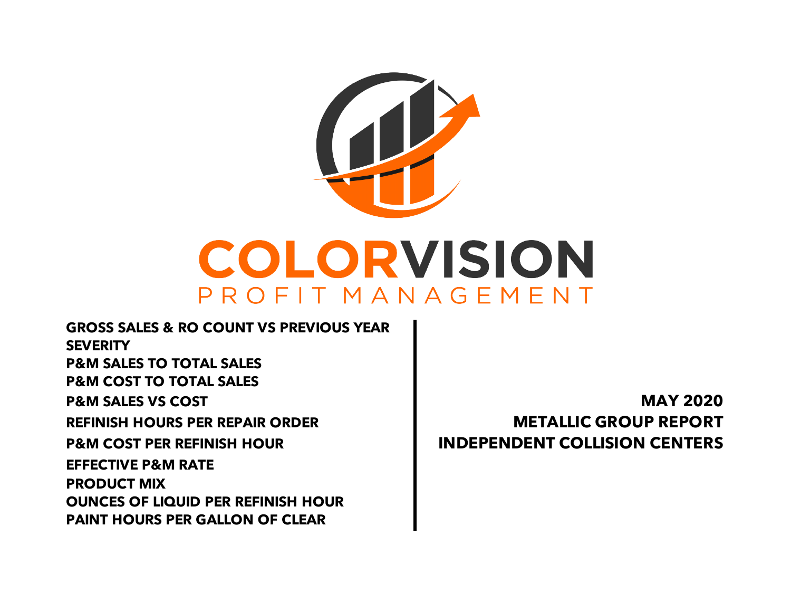

**PAINT HOURS PER GALLON OF CLEAR EFFECTIVE P&M RATE PRODUCT MIX OUNCES OF LIQUID PER REFINISH HOUR REFINISH HOURS PER REPAIR ORDER METALLIC GROUP REPORT P&M COST PER REFINISH HOUR INDEPENDENT COLLISION CENTERS GROSS SALES & RO COUNT VS PREVIOUS YEAR SEVERITY P&M SALES TO TOTAL SALES P&M COST TO TOTAL SALES P&M SALES VS COST MAY 2020**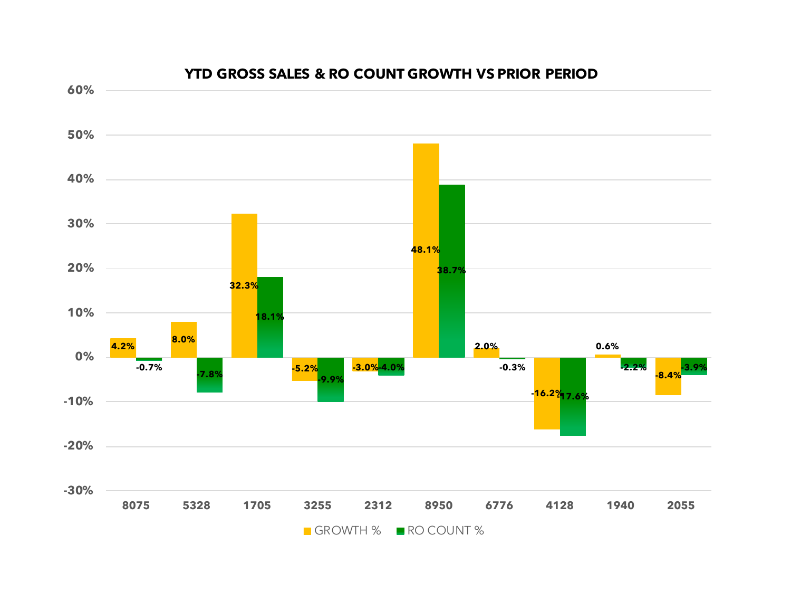

## **YTD GROSS SALES & RO COUNT GROWTH VS PRIOR PERIOD**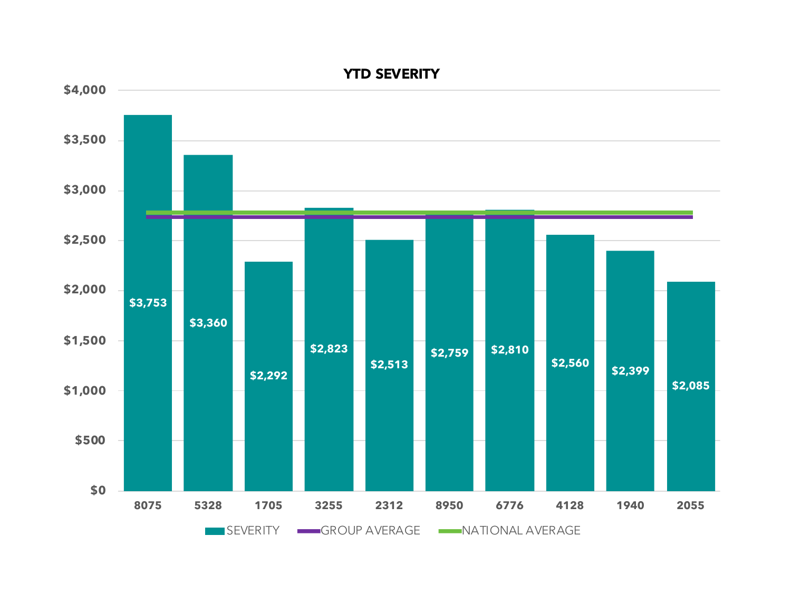

**YTD SEVERITY**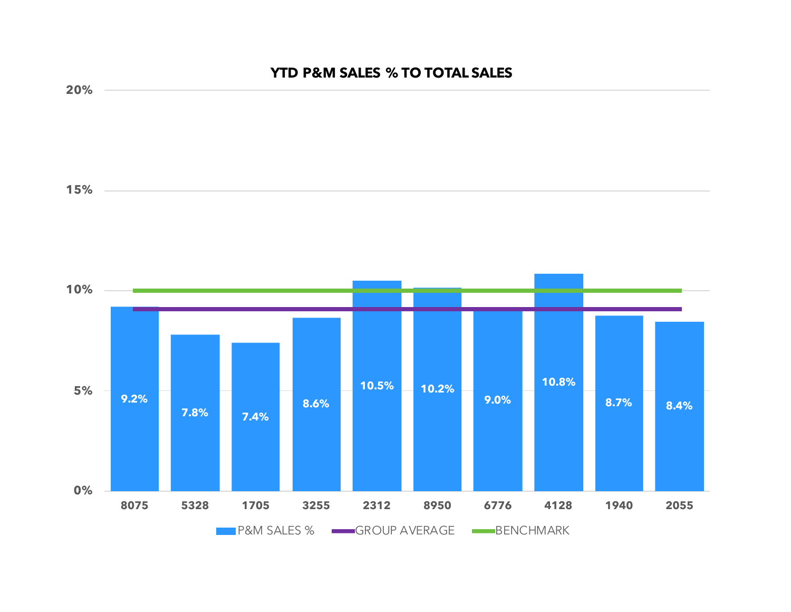## **9.2% 7.8% 7.4% 8.6% 10.5% 10.2% 9.0% 10.8% 8.7% 8.4% 0% 5% 10% 15% 20% 8075 5328 1705 3255 2312 8950 6776 4128 1940 2055 YTD P&M SALES % TO TOTAL SALES**

**P&M SALES % GROUP AVERAGE BENCHMARK**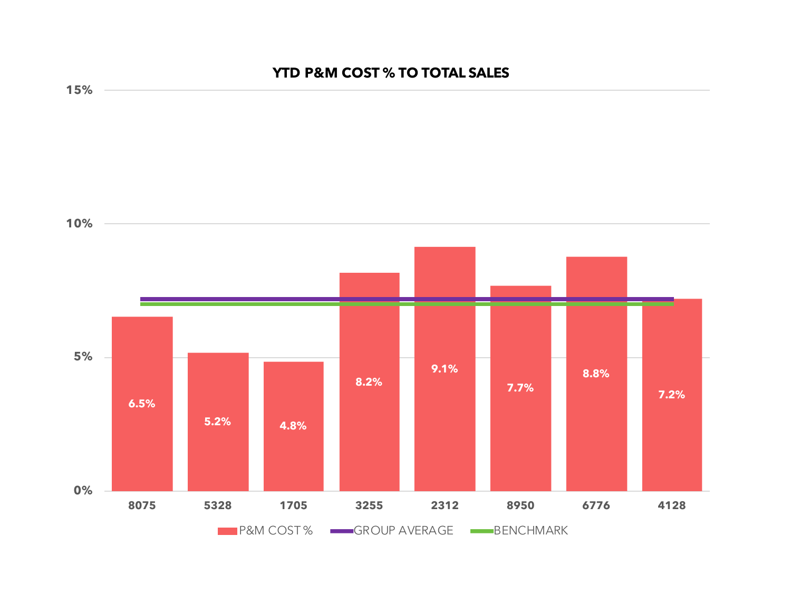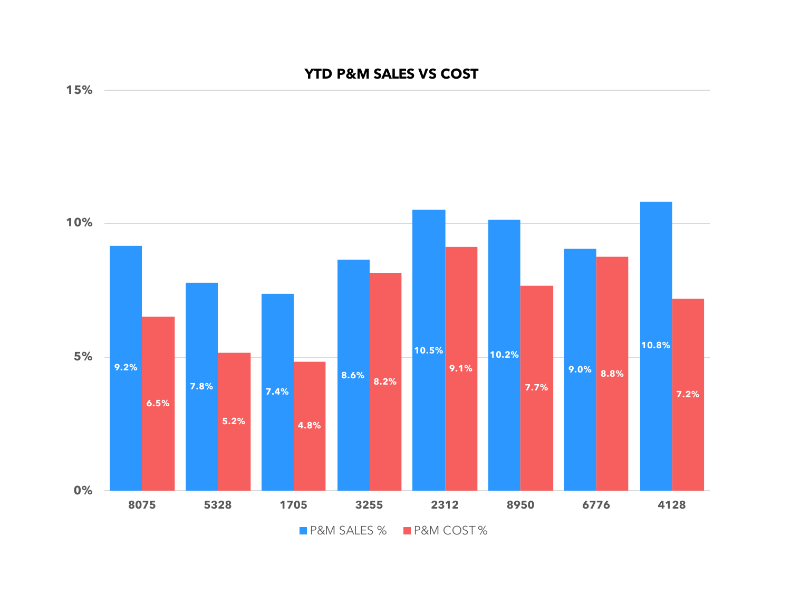## **YTD P&M SALES VS COST**



**15%**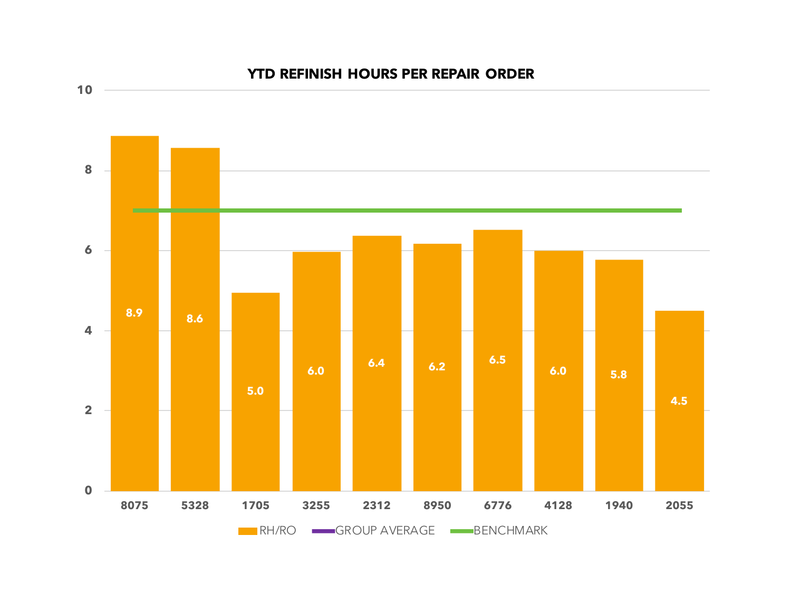

## **YTD REFINISH HOURS PER REPAIR ORDER**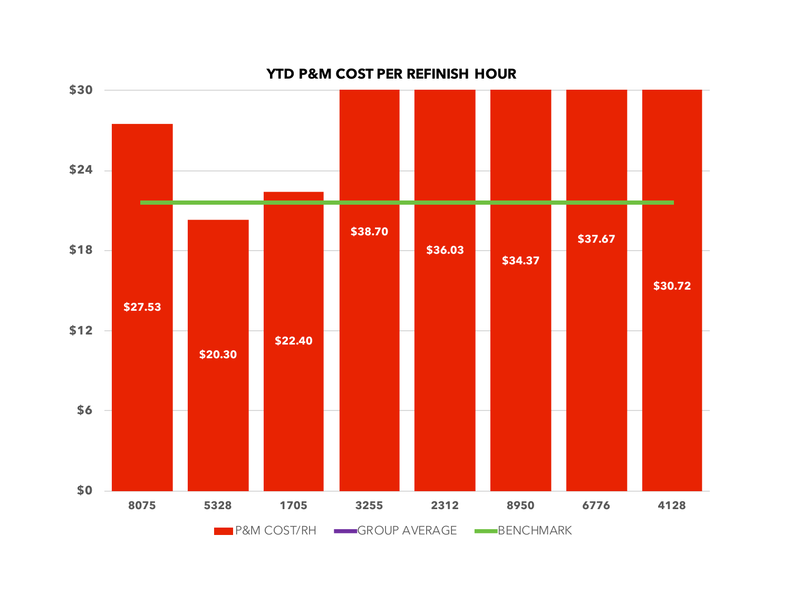

**YTD P&M COST PER REFINISH HOUR**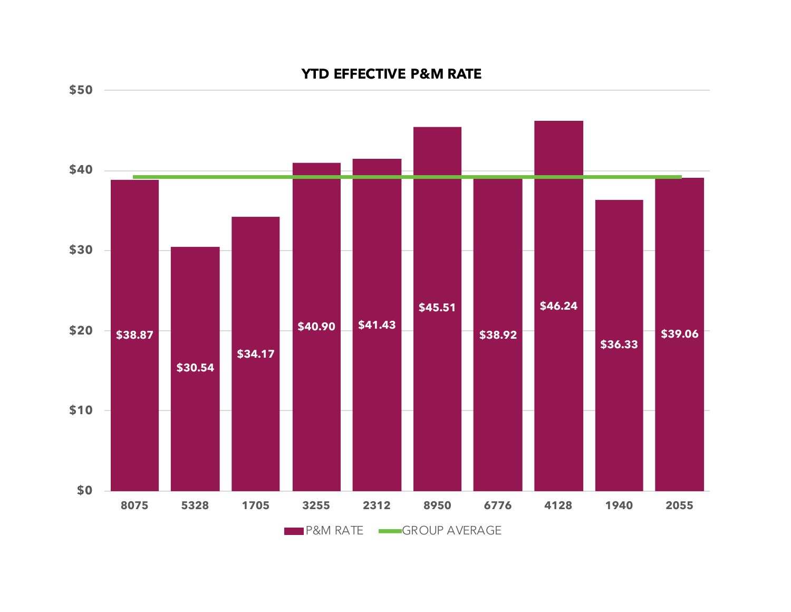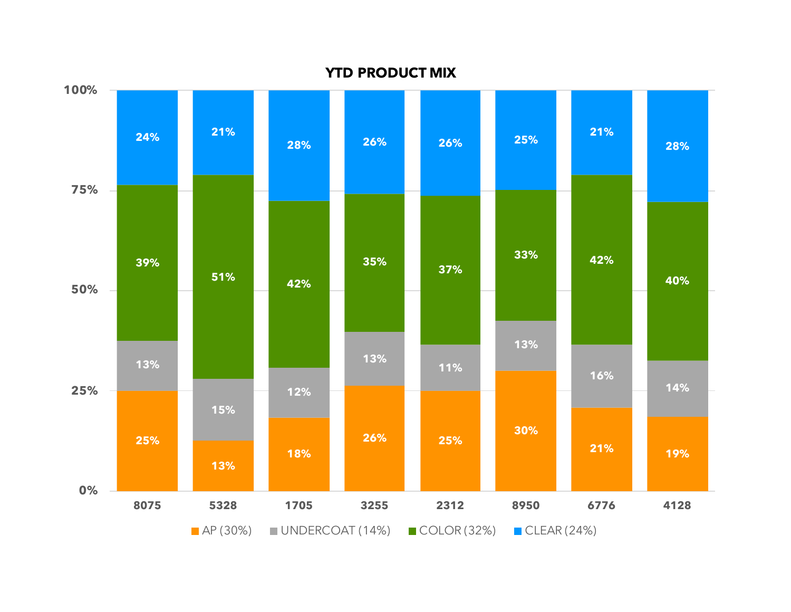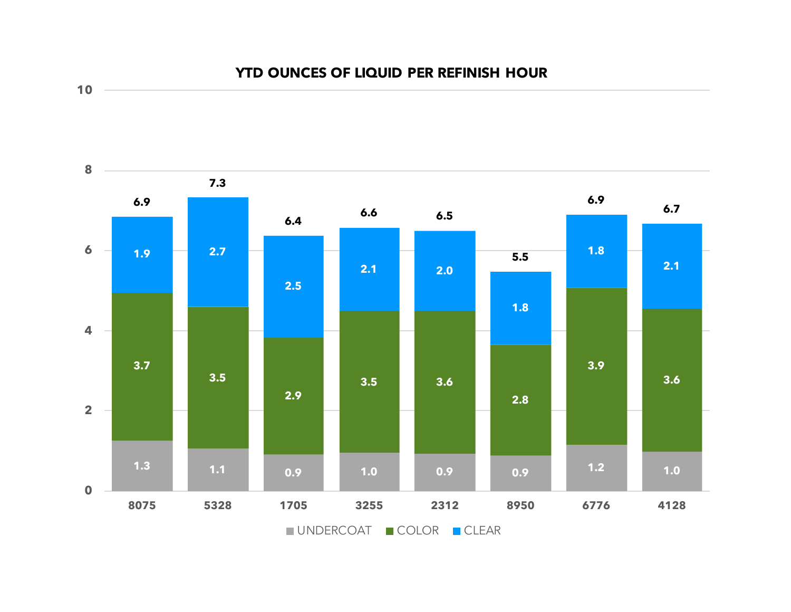



**10**